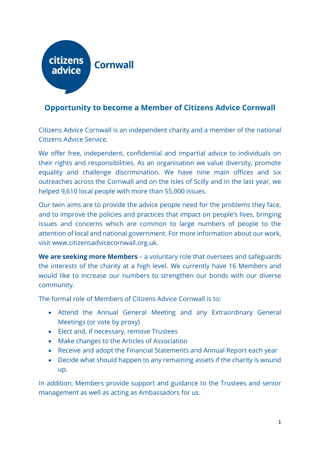

## **Opportunity to become a Member of Citizens Advice Cornwall**

Citizens Advice Cornwall is an independent charity and a member of the national Citizens Advice Service.

We offer free, independent, confidential and impartial advice to individuals on their rights and responsibilities. As an organisation we value diversity, promote equality and challenge discrimination. We have nine main offices and six outreaches across the Cornwall and on the Isles of Scilly and in the last year, we helped 9,610 local people with more than 55,000 issues.

Our twin aims are to provide the advice people need for the problems they face, and to improve the policies and practices that impact on people's lives, bringing issues and concerns which are common to large numbers of people to the attention of local and national government. For more information about our work, visit www.citizensadvicecornwall.org.uk.

**We are seeking more Members** – a voluntary role that oversees and safeguards the interests of the charity at a high level. We currently have 16 Members and would like to increase our numbers to strengthen our bonds with our diverse community.

The formal role of Members of Citizens Advice Cornwall is to:

- Attend the Annual General Meeting and any Extraordinary General Meetings (or vote by proxy)
- Elect and, if necessary, remove Trustees
- Make changes to the Articles of Association
- Receive and adopt the Financial Statements and Annual Report each year
- Decide what should happen to any remaining assets if the charity is wound up.

In addition, Members provide support and guidance to the Trustees and senior management as well as acting as Ambassadors for us.